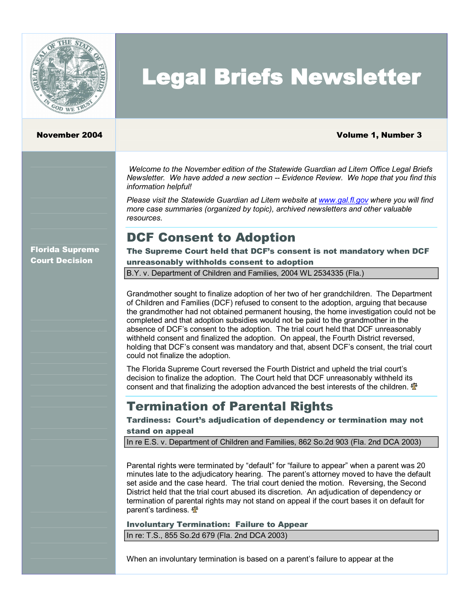

# Legal Briefs Newsletter

#### November 2004 Volume 1, Number 3

*Welcome to the November edition of the Statewide Guardian ad Litem Office Legal Briefs Newsletter. We have added a new section Evidence Review. We hope that you find this information helpful!*

*Please visit the Statewide Guardian ad Litem website at [www.gal.fl.gov](http://www.gal.fl.gov/) where you will find more case summaries (organized by topic), archived newsletters and other valuable resources.*

# DCF Consent to Adoption

Florida Supreme Court Decision

The Supreme Court held that DCF's consent is not mandatory when DCF unreasonably withholds consent to adoption

B.Y. v. Department of Children and Families, 2004 WL 2534335 (Fla.)

Grandmother sought to finalize adoption of her two of her grandchildren. The Department of Children and Families (DCF) refused to consent to the adoption, arguing that because the grandmother had not obtained permanent housing, the home investigation could not be completed and that adoption subsidies would not be paid to the grandmother in the absence of DCF's consent to the adoption. The trial court held that DCF unreasonably withheld consent and finalized the adoption. On appeal, the Fourth District reversed, holding that DCF's consent was mandatory and that, absent DCF's consent, the trial court could not finalize the adoption.

The Florida Supreme Court reversed the Fourth District and upheld the trial court's decision to finalize the adoption. The Court held that DCF unreasonably withheld its consent and that finalizing the adoption advanced the best interests of the children.  $\mathbf{\Phi}$ 

## Termination of Parental Rights

Tardiness: Court's adjudication of dependency or termination may not stand on appeal

In re E.S. v. Department of Children and Families, 862 So.2d 903 (Fla. 2nd DCA 2003)

Parental rights were terminated by "default" for "failure to appear" when a parent was 20 minutes late to the adjudicatory hearing. The parent's attorney moved to have the default set aside and the case heard. The trial court denied the motion. Reversing, the Second District held that the trial court abused its discretion. An adjudication of dependency or termination of parental rights may not stand on appeal if the court bases iton default for parent's tardiness.  $\Phi$ 

Involuntary Termination: Failure to Appear

In re: T.S., 855 So.2d 679 (Fla. 2nd DCA 2003)

When an involuntary termination is based on a parent's failure to appear at the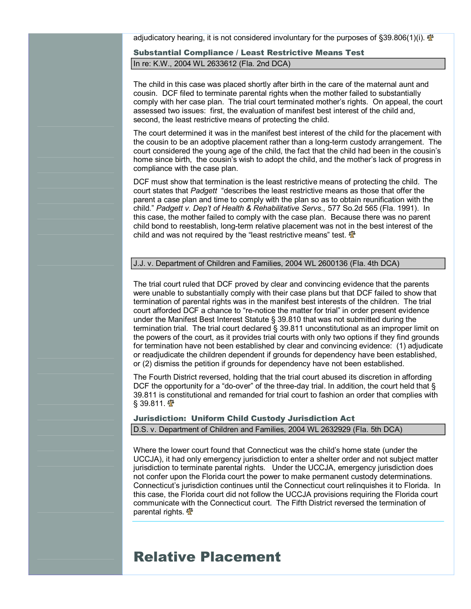adjudicatory hearing, it is not considered involuntary for the purposes of  $\S 39.806(1)$ (i).

#### Substantial Compliance / Least Restrictive Means Test In re: K.W., 2004 WL 2633612 (Fla. 2nd DCA)

The child in this case was placed shortly after birth in the care of the maternal aunt and cousin. DCF filed to terminate parental rights when the mother failed to substantially comply with her case plan. The trial court terminated mother's rights. On appeal, the court assessed two issues: first, the evaluation of manifest best interest of the child and, second, the least restrictive means of protecting the child.

The court determined it was in the manifest best interest of the child for the placement with the cousin to be an adoptive placement rather than a long-term custody arrangement. The court considered the young age of the child, the fact that the child had been in the cousin's home since birth, the cousin's wish to adopt the child, and the mother's lack of progress in compliance with the case plan.

DCF must show that termination is the least restrictive means of protecting the child. The court states that *Padgett* "describes the least restrictive means as those that offer the parent a case plan and time to comply with the plan so as to obtain reunification with the child." *Padgett v. Dep't of Health & Rehabilitative Servs.,* 577 So.2d 565 (Fla. 1991). In this case, the mother failed to comply with the case plan. Because there was no parent child bond to reestablish, long-term relative placement was not in the best interest of the child and was not required by the "least restrictive means" test.  $\mathbf{\Phi}$ 

#### J.J. v. Department of Children and Families, 2004 WL 2600136 (Fla. 4th DCA)

The trial court ruled that DCF proved by clear and convincing evidence that the parents were unable to substantially comply with their case plans but that DCF failed to show that termination of parental rights was in the manifest best interests of the children. The trial court afforded DCF a chance to "re-notice the matter for trial" in order present evidence under the Manifest Best Interest Statute § 39.810 that was not submitted during the termination trial. The trial court declared § 39.811 unconstitutional as an improper limit on the powers of the court, as it provides trial courts with only two options if they find grounds for termination have not been established by clear and convincing evidence: (1) adjudicate or readjudicate the children dependent if grounds for dependency have been established, or (2) dismiss the petition if grounds for dependency have not been established.

The Fourth District reversed, holding that the trial court abused its discretion in affording DCF the opportunity for a "do-over" of the three-day trial. In addition, the court held that  $\S$ 39.811 is constitutional and remanded for trial court to fashion an order that complies with  $§$  39.811.  $\Phi$ 

### Jurisdiction: Uniform Child Custody Jurisdiction Act

#### D.S. v. Department of Children and Families, 2004 WL 2632929 (Fla. 5th DCA)

Where the lower court found that Connecticut was the child's home state (under the UCCJA), it had only emergency jurisdiction to enter a shelter order and not subject matter jurisdiction to terminate parental rights. Under the UCCJA, emergency jurisdiction does not confer upon the Florida court the power to make permanent custody determinations. Connecticut's jurisdiction continues until the Connecticut court relinquishes it to Florida. In this case, the Florida court did not follow the UCCJA provisions requiring the Florida court communicate with the Connecticut court. The Fifth District reversed the termination of parental rights.  $\mathbf{\Phi}$ 

# Relative Placement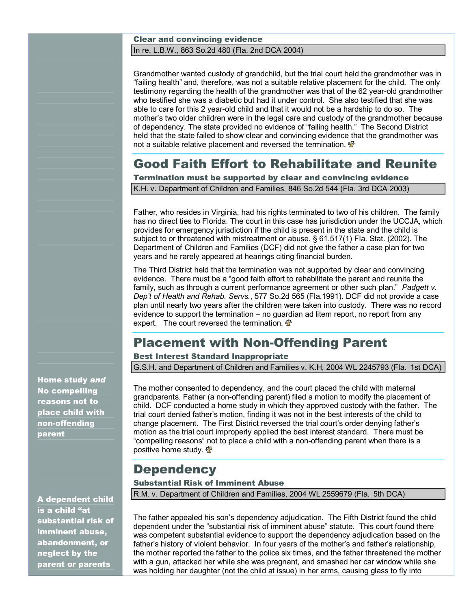#### Clear and convincing evidence In re. L.B.W., 863 So.2d 480 (Fla. 2nd DCA 2004)

Grandmother wanted custody of grandchild, but the trial court held the grandmother was in "failing health" and, therefore, was not a suitable relative placement for the child. The only testimony regarding the health of the grandmother was that of the 62 year-old grandmother who testified she was a diabetic but had it under control. She also testified that she was able to care for this 2 year-old child and that it would not be a hardship to do so. The mother's two older children were in the legal care and custody of the grandmother because of dependency. The state provided no evidence of "failing health." The Second District held that the state failed to show clear and convincing evidence that the grandmother was not a suitable relative placement and reversed the termination.  $\mathbf{\Phi}$ 

# Good Faith Effort to Rehabilitate and Reunite

Termination must be supported by clear and convincing evidence K.H. v. Department of Children and Families, 846 So.2d 544 (Fla. 3rd DCA 2003)

Father, who resides in Virginia, had his rights terminated to two of his children. The family has no direct ties to Florida. The court in this case has jurisdiction under the UCCJA, which provides for emergency jurisdiction if the child is present in the state and the child is subject to or threatened with mistreatment or abuse. § 61.517(1) Fla. Stat. (2002). The Department of Children and Families (DCF) did not give the father a case plan for two years and he rarely appeared at hearings citing financial burden.

The Third District held that the termination was not supported by clear and convincing evidence. There must be a "good faith effort to rehabilitate the parent and reunite the family, such as through a current performance agreement or other such plan." *Padgett v. Dep't of Health and Rehab. Servs.*, 577 So.2d 565 (Fla.1991). DCF did not provide a case plan until nearly two years after the children were taken into custody. There was no record evidence to support the termination – no guardian ad litem report, no report from any expert. The court reversed the termination.

# **Placement with Non-Offending Parent**

#### Best Interest Standard Inappropriate

G.S.H. and Department of Children and Families v. K.H, 2004 WL 2245793 (Fla. 1st DCA)

The mother consented to dependency, and the court placed the child with maternal grandparents. Father (a non-offending parent) filed a motion to modify the placement of child. DCF conducted a home study in which they approved custody with the father. The trial court denied father's motion, finding it was not in the best interests of the child to change placement. The First District reversed the trial court's order denying father's motion as the trial court improperly applied the best interest standard. There must be "compelling reasons" not to place a child with a non-offending parent when there is a positive home study.  $\Phi$ 

# **Dependency**

#### Substantial Risk of Imminent Abuse

R.M. v. Department of Children and Families, 2004 WL 2559679 (Fla. 5th DCA)

The father appealed his son's dependency adjudication. The Fifth District found the child dependent under the "substantial risk of imminent abuse" statute. This court found there was competent substantial evidence to support the dependency adjudication based on the father's history of violent behavior. In four years of the mother's and father's relationship, the mother reported the father to the police six times, and the father threatened the mother with a gun, attacked her while she was pregnant, and smashed her car window while she was holding her daughter (not the child at issue) in her arms, causing glass to fly into

Home study *and*  No compelling reasons not to place child with non-offending parent

A dependent child is a child "at substantial risk of imminent abuse, abandonment, or neglect by the parent or parents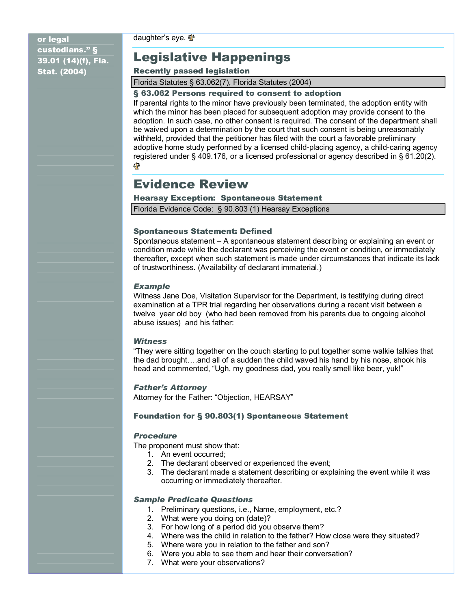daughter's eye.  $\frac{47}{3}$ 

or legal custodians." § 39.01 (14)(f), Fla. Stat. (2004)

# Legislative Happenings

#### Recently passed legislation

Florida Statutes § 63.062(7), Florida Statutes (2004)

#### § 63.062 Persons required to consent to adoption

If parental rights to the minor have previously been terminated, the adoption entity with which the minor has been placed for subsequent adoption may provide consent to the adoption. In such case, no other consent is required. The consent of the department shall be waived upon a determination by the court that such consent is being unreasonably withheld, provided that the petitioner has filed with the court a favorable preliminary adoptive home study performed by a licensed child-placing agency, a child-caring agency registered under § 409.176, or a licensed professional or agency described in § 61.20(2). 邮

# Evidence Review

#### Hearsay Exception: Spontaneous Statement

Florida Evidence Code: § 90.803 (1) Hearsay Exceptions

#### Spontaneous Statement: Defined

Spontaneous statement – A spontaneous statement describing or explaining an event or condition made while the declarant was perceiving the event or condition, or immediately thereafter, except when such statement is made under circumstances that indicate its lack of trustworthiness. (Availability of declarant immaterial.)

#### *Example*

Witness Jane Doe, Visitation Supervisor for the Department, is testifying during direct examination at a TPR trial regarding her observations during a recent visit between a twelve year old boy (who had been removed from his parents due to ongoing alcohol abuse issues) and his father:

#### *Witness*

"They were sitting together on the couch starting to put together some walkie talkies that the dad brought….and all of a sudden the child waved his hand by his nose, shook his head and commented, "Ugh, my goodness dad, you really smell like beer, yuk!"

#### *Father's Attorney*

Attorney for the Father: "Objection, HEARSAY"

#### Foundation for § 90.803(1) Spontaneous Statement

#### *Procedure*

The proponent must show that:

- 1. An event occurred;
- 2. The declarant observed or experienced the event;
- 3. The declarant made a statement describing or explaining the event while it was occurring or immediately thereafter.

#### *Sample Predicate Questions*

- 1. Preliminary questions, i.e., Name, employment, etc.?
- 2. What were you doing on (date)?
- 3. For how long of a period did you observe them?
- 4. Where was the child in relation to the father? How close were they situated?
- 5. Where were you in relation to the father and son?
- 6. Were you able to see them and hear their conversation?
- 7. What were your observations?